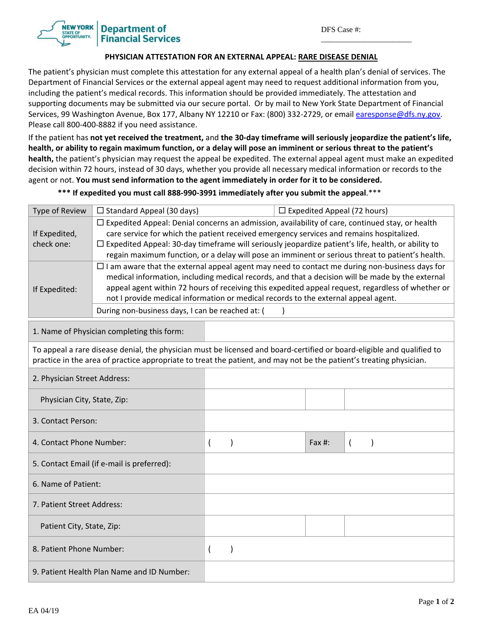\_\_\_\_\_\_\_\_\_\_\_\_\_\_\_\_\_\_\_\_\_\_\_

**Department of Financial Services** 

## **PHYSICIAN ATTESTATION FOR AN EXTERNAL APPEAL: RARE DISEASE DENIAL**

The patient's physician must complete this attestation for any external appeal of a health plan's denial of services. The Department of Financial Services or the external appeal agent may need to request additional information from you, including the patient's medical records. This information should be provided immediately. The attestation and supporting documents may be submitted via our secure portal. Or by mail to New York State Department of Financial Services, 99 Washington Avenue, Box 177, Albany NY 12210 or Fax: (800) 332-2729, or email earesponse@dfs.ny.gov. Please call 800‐400‐8882 if you need assistance.

If the patient has not yet received the treatment, and the 30-day timeframe will seriously jeopardize the patient's life, health, or ability to regain maximum function, or a delay will pose an imminent or serious threat to the patient's **health,** the patient's physician may request the appeal be expedited. The external appeal agent must make an expedited decision within 72 hours, instead of 30 days, whether you provide all necessary medical information or records to the agent or not. **You must send information to the agent immediately in order for it to be considered.** 

\*\*\* If expedited you must call 888-990-3991 immediately after you submit the appeal.\*\*\*

| <b>Type of Review</b>                                                                                                                                                                                                                                                                                        | $\Box$ Standard Appeal (30 days)                                                                                                                                                                                                                                                                                                                                                                                                                                                                                            |                |           | $\Box$ Expedited Appeal (72 hours) |           |                |  |  |
|--------------------------------------------------------------------------------------------------------------------------------------------------------------------------------------------------------------------------------------------------------------------------------------------------------------|-----------------------------------------------------------------------------------------------------------------------------------------------------------------------------------------------------------------------------------------------------------------------------------------------------------------------------------------------------------------------------------------------------------------------------------------------------------------------------------------------------------------------------|----------------|-----------|------------------------------------|-----------|----------------|--|--|
| If Expedited,<br>check one:                                                                                                                                                                                                                                                                                  | $\Box$ Expedited Appeal: Denial concerns an admission, availability of care, continued stay, or health<br>care service for which the patient received emergency services and remains hospitalized.<br>$\Box$ Expedited Appeal: 30-day timeframe will seriously jeopardize patient's life, health, or ability to<br>regain maximum function, or a delay will pose an imminent or serious threat to patient's health.<br>$\Box$ I am aware that the external appeal agent may need to contact me during non-business days for |                |           |                                    |           |                |  |  |
| medical information, including medical records, and that a decision will be made by the external<br>appeal agent within 72 hours of receiving this expedited appeal request, regardless of whether or<br>If Expedited:<br>not I provide medical information or medical records to the external appeal agent. |                                                                                                                                                                                                                                                                                                                                                                                                                                                                                                                             |                |           |                                    |           |                |  |  |
|                                                                                                                                                                                                                                                                                                              | During non-business days, I can be reached at: (                                                                                                                                                                                                                                                                                                                                                                                                                                                                            |                |           |                                    |           |                |  |  |
| 1. Name of Physician completing this form:                                                                                                                                                                                                                                                                   |                                                                                                                                                                                                                                                                                                                                                                                                                                                                                                                             |                |           |                                    |           |                |  |  |
| To appeal a rare disease denial, the physician must be licensed and board-certified or board-eligible and qualified to<br>practice in the area of practice appropriate to treat the patient, and may not be the patient's treating physician.                                                                |                                                                                                                                                                                                                                                                                                                                                                                                                                                                                                                             |                |           |                                    |           |                |  |  |
| 2. Physician Street Address:                                                                                                                                                                                                                                                                                 |                                                                                                                                                                                                                                                                                                                                                                                                                                                                                                                             |                |           |                                    |           |                |  |  |
| Physician City, State, Zip:                                                                                                                                                                                                                                                                                  |                                                                                                                                                                                                                                                                                                                                                                                                                                                                                                                             |                |           |                                    |           |                |  |  |
| 3. Contact Person:                                                                                                                                                                                                                                                                                           |                                                                                                                                                                                                                                                                                                                                                                                                                                                                                                                             |                |           |                                    |           |                |  |  |
| 4. Contact Phone Number:                                                                                                                                                                                                                                                                                     |                                                                                                                                                                                                                                                                                                                                                                                                                                                                                                                             | $\overline{ }$ |           |                                    | Fax $#$ : | $\overline{ }$ |  |  |
| 5. Contact Email (if e-mail is preferred):                                                                                                                                                                                                                                                                   |                                                                                                                                                                                                                                                                                                                                                                                                                                                                                                                             |                |           |                                    |           |                |  |  |
| 6. Name of Patient:                                                                                                                                                                                                                                                                                          |                                                                                                                                                                                                                                                                                                                                                                                                                                                                                                                             |                |           |                                    |           |                |  |  |
| 7. Patient Street Address:                                                                                                                                                                                                                                                                                   |                                                                                                                                                                                                                                                                                                                                                                                                                                                                                                                             |                |           |                                    |           |                |  |  |
| Patient City, State, Zip:                                                                                                                                                                                                                                                                                    |                                                                                                                                                                                                                                                                                                                                                                                                                                                                                                                             |                |           |                                    |           |                |  |  |
| 8. Patient Phone Number:                                                                                                                                                                                                                                                                                     |                                                                                                                                                                                                                                                                                                                                                                                                                                                                                                                             | $\overline{(}$ | $\lambda$ |                                    |           |                |  |  |
| 9. Patient Health Plan Name and ID Number:                                                                                                                                                                                                                                                                   |                                                                                                                                                                                                                                                                                                                                                                                                                                                                                                                             |                |           |                                    |           |                |  |  |